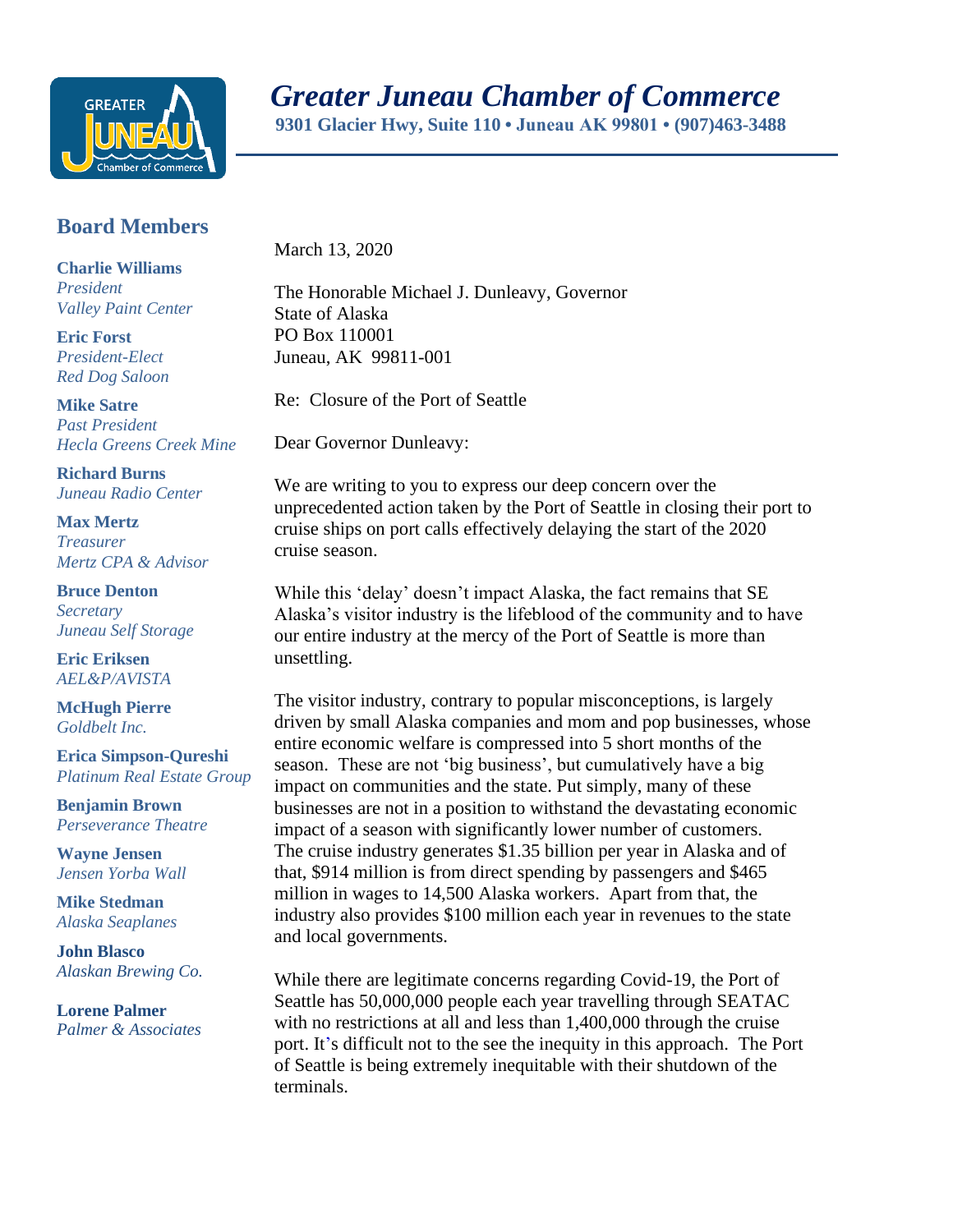

## *Greater Juneau Chamber of Commerce*

 **9301 Glacier Hwy, Suite 110 • Juneau AK 99801 • (907)463-3488** 

## **Board Members**

**Charlie Williams** *President Valley Paint Center*

**Eric Forst** *President-Elect Red Dog Saloon*

**Mike Satre**  *Past President Hecla Greens Creek Mine*

**Richard Burns** *Juneau Radio Center*

**Max Mertz** *Treasurer Mertz CPA & Advisor*

**Bruce Denton** *Secretary Juneau Self Storage*

**Eric Eriksen** *AEL&P/AVISTA*

**McHugh Pierre** *Goldbelt Inc.*

**Erica Simpson-Qureshi** *Platinum Real Estate Group*

**Benjamin Brown** *Perseverance Theatre*

**Wayne Jensen** *Jensen Yorba Wall*

**Mike Stedman** *Alaska Seaplanes*

**John Blasco** *Alaskan Brewing Co.*

**Lorene Palmer** *Palmer & Associates*  March 13, 2020

The Honorable Michael J. Dunleavy, Governor State of Alaska PO Box 110001 Juneau, AK 99811-001

Re: Closure of the Port of Seattle

Dear Governor Dunleavy:

We are writing to you to express our deep concern over the unprecedented action taken by the Port of Seattle in closing their port to cruise ships on port calls effectively delaying the start of the 2020 cruise season.

While this 'delay' doesn't impact Alaska, the fact remains that SE Alaska's visitor industry is the lifeblood of the community and to have our entire industry at the mercy of the Port of Seattle is more than unsettling.

The visitor industry, contrary to popular misconceptions, is largely driven by small Alaska companies and mom and pop businesses, whose entire economic welfare is compressed into 5 short months of the season. These are not 'big business', but cumulatively have a big impact on communities and the state. Put simply, many of these businesses are not in a position to withstand the devastating economic impact of a season with significantly lower number of customers. The cruise industry generates \$1.35 billion per year in Alaska and of that, \$914 million is from direct spending by passengers and \$465 million in wages to 14,500 Alaska workers. Apart from that, the industry also provides \$100 million each year in revenues to the state and local governments.

While there are legitimate concerns regarding Covid-19, the Port of Seattle has 50,000,000 people each year travelling through SEATAC with no restrictions at all and less than 1,400,000 through the cruise port. It's difficult not to the see the inequity in this approach. The Port of Seattle is being extremely inequitable with their shutdown of the terminals.